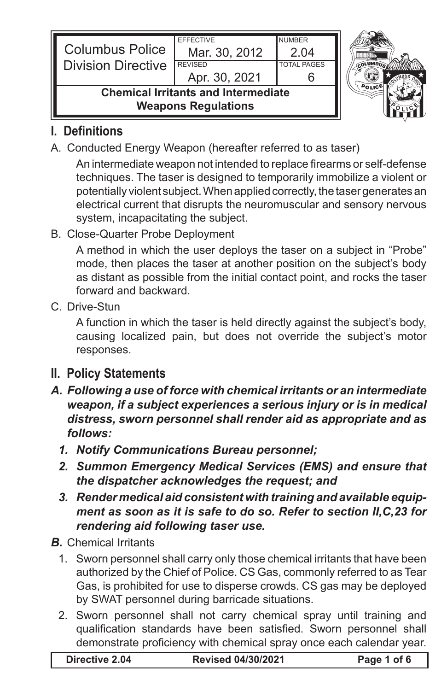| <b>Columbus Police</b><br><b>Division Directive</b>                      | <b>FFFFCTIVE</b><br>Mar. 30, 2012<br><b>REVISED</b> | <b>NUMBER</b><br>2.04<br><b>TOTAL PAGES</b> |  |
|--------------------------------------------------------------------------|-----------------------------------------------------|---------------------------------------------|--|
|                                                                          | Apr. 30, 2021                                       |                                             |  |
| <b>Chemical Irritants and Intermediate</b><br><b>Weapons Regulations</b> |                                                     |                                             |  |

## **I. Definitions**

A. Conducted Energy Weapon (hereafter referred to as taser)

 An intermediate weapon not intended to replace firearms or self-defense techniques. The taser is designed to temporarily immobilize a violent or potentially violent subject. When applied correctly, the taser generates an electrical current that disrupts the neuromuscular and sensory nervous system, incapacitating the subject.

B. Close-Quarter Probe Deployment

A method in which the user deploys the taser on a subject in "Probe" mode, then places the taser at another position on the subject's body as distant as possible from the initial contact point, and rocks the taser forward and backward.

C. Drive-Stun

A function in which the taser is held directly against the subject's body, causing localized pain, but does not override the subject's motor responses.

- **II. Policy Statements**
- *A. Following a use of force with chemical irritants or an intermediate weapon, if a subject experiences a serious injury or is in medical distress, sworn personnel shall render aid as appropriate and as follows:* 
	- *1. Notify Communications Bureau personnel;*
	- *2. Summon Emergency Medical Services (EMS) and ensure that the dispatcher acknowledges the request; and*
	- *3. Render medical aid consistent with training and available equipment as soon as it is safe to do so. Refer to section II,C,23 for rendering aid following taser use.*
- *B.* Chemical Irritants
	- 1. Sworn personnel shall carry only those chemical irritants that have been authorized by the Chief of Police. CS Gas, commonly referred to as Tear Gas, is prohibited for use to disperse crowds. CS gas may be deployed by SWAT personnel during barricade situations.
	- 2. Sworn personnel shall not carry chemical spray until training and qualification standards have been satisfied. Sworn personnel shall demonstrate proficiency with chemical spray once each calendar year.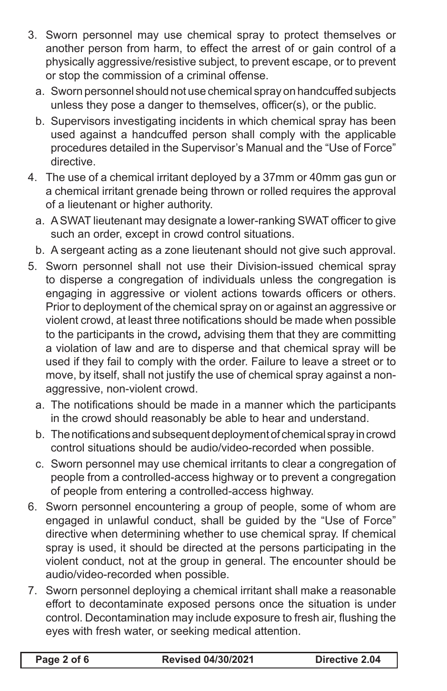- 3. Sworn personnel may use chemical spray to protect themselves or another person from harm, to effect the arrest of or gain control of a physically aggressive/resistive subject, to prevent escape, or to prevent or stop the commission of a criminal offense.
	- a. Sworn personnel should not use chemical spray on handcuffed subjects unless they pose a danger to themselves, officer(s), or the public.
	- b. Supervisors investigating incidents in which chemical spray has been used against a handcuffed person shall comply with the applicable procedures detailed in the Supervisor's Manual and the "Use of Force" directive.
- 4. The use of a chemical irritant deployed by a 37mm or 40mm gas gun or a chemical irritant grenade being thrown or rolled requires the approval of a lieutenant or higher authority.
	- a. A SWAT lieutenant may designate a lower-ranking SWAT officer to give such an order, except in crowd control situations.
	- b. A sergeant acting as a zone lieutenant should not give such approval.
- 5. Sworn personnel shall not use their Division-issued chemical spray to disperse a congregation of individuals unless the congregation is engaging in aggressive or violent actions towards officers or others. Prior to deployment of the chemical spray on or against an aggressive or violent crowd, at least three notifications should be made when possible to the participants in the crowd*,* advising them that they are committing a violation of law and are to disperse and that chemical spray will be used if they fail to comply with the order. Failure to leave a street or to move, by itself, shall not justify the use of chemical spray against a nonaggressive, non-violent crowd.
	- a. The notifications should be made in a manner which the participants in the crowd should reasonably be able to hear and understand.
	- b. The notifications and subsequent deployment of chemical spray in crowd control situations should be audio/video-recorded when possible.
	- c. Sworn personnel may use chemical irritants to clear a congregation of people from a controlled-access highway or to prevent a congregation of people from entering a controlled-access highway.
- 6. Sworn personnel encountering a group of people, some of whom are engaged in unlawful conduct, shall be guided by the "Use of Force" directive when determining whether to use chemical spray. If chemical spray is used, it should be directed at the persons participating in the violent conduct, not at the group in general. The encounter should be audio/video-recorded when possible.
- 7. Sworn personnel deploying a chemical irritant shall make a reasonable effort to decontaminate exposed persons once the situation is under control. Decontamination may include exposure to fresh air, flushing the eyes with fresh water, or seeking medical attention.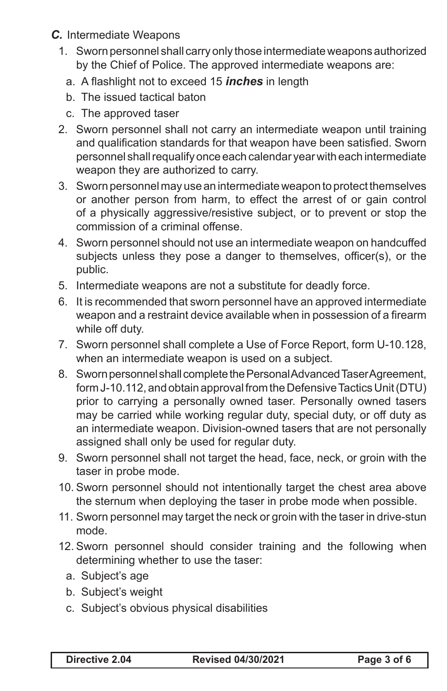- *C.* Intermediate Weapons
	- 1. Sworn personnel shall carry only those intermediate weapons authorized by the Chief of Police. The approved intermediate weapons are:
		- a. A flashlight not to exceed 15 *inches* in length
		- b. The issued tactical baton
		- c. The approved taser
	- 2. Sworn personnel shall not carry an intermediate weapon until training and qualification standards for that weapon have been satisfied. Sworn personnel shall requalify once each calendar year with each intermediate weapon they are authorized to carry.
	- 3. Sworn personnel may use an intermediate weapon to protect themselves or another person from harm, to effect the arrest of or gain control of a physically aggressive/resistive subject, or to prevent or stop the commission of a criminal offense.
	- 4. Sworn personnel should not use an intermediate weapon on handcuffed subjects unless they pose a danger to themselves, officer(s), or the public.
	- 5. Intermediate weapons are not a substitute for deadly force.
	- 6. It is recommended that sworn personnel have an approved intermediate weapon and a restraint device available when in possession of a firearm while off duty.
	- 7. Sworn personnel shall complete a Use of Force Report, form U-10.128, when an intermediate weapon is used on a subject.
	- 8. Sworn personnel shall complete the Personal Advanced Taser Agreement, form J-10.112, and obtain approval from the Defensive Tactics Unit (DTU) prior to carrying a personally owned taser. Personally owned tasers may be carried while working regular duty, special duty, or off duty as an intermediate weapon. Division-owned tasers that are not personally assigned shall only be used for regular duty.
	- 9. Sworn personnel shall not target the head, face, neck, or groin with the taser in probe mode.
	- 10. Sworn personnel should not intentionally target the chest area above the sternum when deploying the taser in probe mode when possible.
	- 11. Sworn personnel may target the neck or groin with the taser in drive-stun mode.
	- 12. Sworn personnel should consider training and the following when determining whether to use the taser:
		- a. Subject's age
		- b. Subject's weight
		- c. Subject's obvious physical disabilities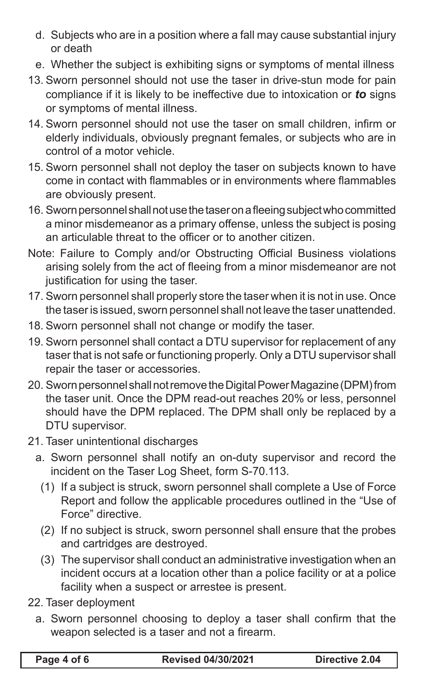- d. Subjects who are in a position where a fall may cause substantial injury or death
- e. Whether the subject is exhibiting signs or symptoms of mental illness
- 13. Sworn personnel should not use the taser in drive-stun mode for pain compliance if it is likely to be ineffective due to intoxication or *to* signs or symptoms of mental illness.
- 14. Sworn personnel should not use the taser on small children, infirm or elderly individuals, obviously pregnant females, or subjects who are in control of a motor vehicle.
- 15. Sworn personnel shall not deploy the taser on subjects known to have come in contact with flammables or in environments where flammables are obviously present.
- 16. Sworn personnel shall not use the taser on a fleeing subject who committed a minor misdemeanor as a primary offense, unless the subject is posing an articulable threat to the officer or to another citizen.
- Note: Failure to Comply and/or Obstructing Official Business violations arising solely from the act of fleeing from a minor misdemeanor are not justification for using the taser.
- 17. Sworn personnel shall properly store the taser when it is not in use. Once the taser is issued, sworn personnel shall not leave the taser unattended.
- 18. Sworn personnel shall not change or modify the taser.
- 19. Sworn personnel shall contact a DTU supervisor for replacement of any taser that is not safe or functioning properly. Only a DTU supervisor shall repair the taser or accessories.
- 20. Sworn personnel shall not remove the Digital Power Magazine (DPM) from the taser unit. Once the DPM read-out reaches 20% or less, personnel should have the DPM replaced. The DPM shall only be replaced by a DTU supervisor.
- 21. Taser unintentional discharges
	- a. Sworn personnel shall notify an on-duty supervisor and record the incident on the Taser Log Sheet, form S-70.113.
		- (1) If a subject is struck, sworn personnel shall complete a Use of Force Report and follow the applicable procedures outlined in the "Use of Force" directive.
		- (2) If no subject is struck, sworn personnel shall ensure that the probes and cartridges are destroyed.
		- (3) The supervisor shall conduct an administrative investigation when an incident occurs at a location other than a police facility or at a police facility when a suspect or arrestee is present.
- 22. Taser deployment
	- a. Sworn personnel choosing to deploy a taser shall confirm that the weapon selected is a taser and not a firearm.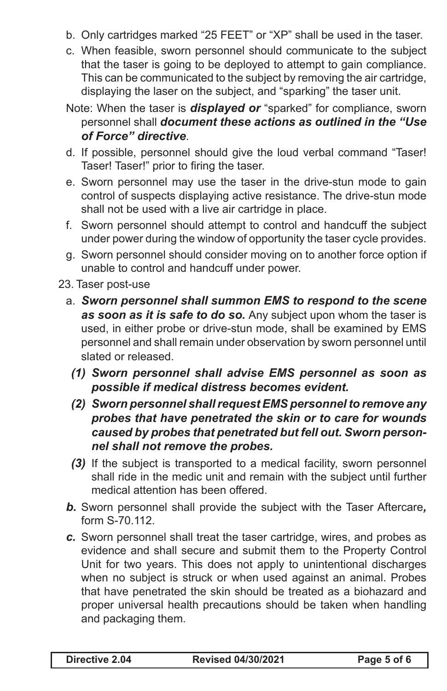- b. Only cartridges marked "25 FEET" or "XP" shall be used in the taser.
- c. When feasible, sworn personnel should communicate to the subject that the taser is going to be deployed to attempt to gain compliance. This can be communicated to the subject by removing the air cartridge, displaying the laser on the subject, and "sparking" the taser unit.
- Note: When the taser is *displayed or* "sparked" for compliance, sworn personnel shall *document these actions as outlined in the "Use of Force" directive*.
- d. If possible, personnel should give the loud verbal command "Taser! Taser! Taser!" prior to firing the taser.
- e. Sworn personnel may use the taser in the drive-stun mode to gain control of suspects displaying active resistance. The drive-stun mode shall not be used with a live air cartridge in place.
- f. Sworn personnel should attempt to control and handcuff the subject under power during the window of opportunity the taser cycle provides.
- g. Sworn personnel should consider moving on to another force option if unable to control and handcuff under power.
- 23. Taser post-use
	- a. *Sworn personnel shall summon EMS to respond to the scene as soon as it is safe to do so.* Any subject upon whom the taser is used, in either probe or drive-stun mode, shall be examined by EMS personnel and shall remain under observation by sworn personnel until slated or released.
		- *(1) Sworn personnel shall advise EMS personnel as soon as possible if medical distress becomes evident.*
		- *(2) Sworn personnel shall request EMS personnel to remove any probes that have penetrated the skin or to care for wounds caused by probes that penetrated but fell out. Sworn personnel shall not remove the probes.*
		- *(3)* If the subject is transported to a medical facility, sworn personnel shall ride in the medic unit and remain with the subject until further medical attention has been offered.
	- *b.* Sworn personnel shall provide the subject with the Taser Aftercare*,* form S-70.112.
	- *c.* Sworn personnel shall treat the taser cartridge, wires, and probes as evidence and shall secure and submit them to the Property Control Unit for two years. This does not apply to unintentional discharges when no subject is struck or when used against an animal. Probes that have penetrated the skin should be treated as a biohazard and proper universal health precautions should be taken when handling and packaging them.